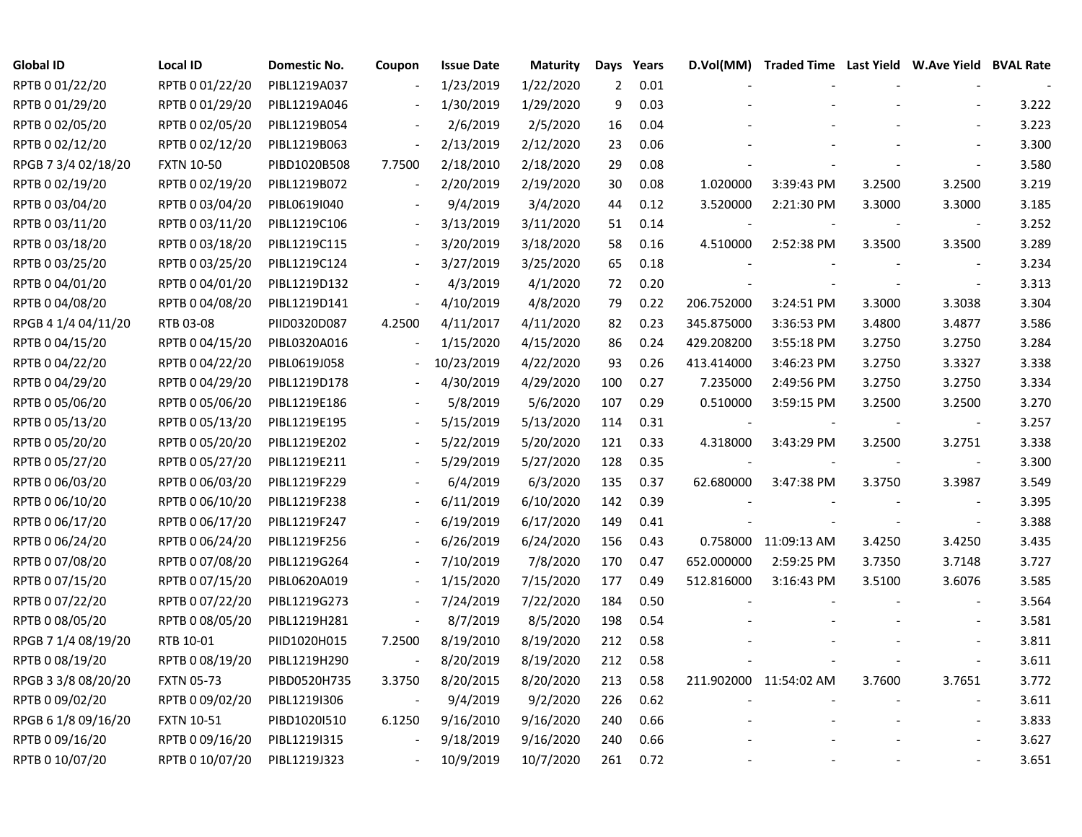| <b>Global ID</b>    | <b>Local ID</b>   | Domestic No. | Coupon                   | <b>Issue Date</b> | <b>Maturity</b> | Days           | Years | D.Vol(MM)  |                        |        | Traded Time Last Yield W.Ave Yield BVAL Rate |       |
|---------------------|-------------------|--------------|--------------------------|-------------------|-----------------|----------------|-------|------------|------------------------|--------|----------------------------------------------|-------|
| RPTB 0 01/22/20     | RPTB 0 01/22/20   | PIBL1219A037 |                          | 1/23/2019         | 1/22/2020       | $\overline{2}$ | 0.01  |            |                        |        |                                              |       |
| RPTB 0 01/29/20     | RPTB 0 01/29/20   | PIBL1219A046 |                          | 1/30/2019         | 1/29/2020       | 9              | 0.03  |            |                        |        |                                              | 3.222 |
| RPTB 0 02/05/20     | RPTB 0 02/05/20   | PIBL1219B054 |                          | 2/6/2019          | 2/5/2020        | 16             | 0.04  |            |                        |        |                                              | 3.223 |
| RPTB 0 02/12/20     | RPTB 0 02/12/20   | PIBL1219B063 | $\overline{\phantom{a}}$ | 2/13/2019         | 2/12/2020       | 23             | 0.06  |            |                        |        |                                              | 3.300 |
| RPGB 7 3/4 02/18/20 | <b>FXTN 10-50</b> | PIBD1020B508 | 7.7500                   | 2/18/2010         | 2/18/2020       | 29             | 0.08  |            |                        |        |                                              | 3.580 |
| RPTB 0 02/19/20     | RPTB 0 02/19/20   | PIBL1219B072 | $\overline{\phantom{a}}$ | 2/20/2019         | 2/19/2020       | 30             | 0.08  | 1.020000   | 3:39:43 PM             | 3.2500 | 3.2500                                       | 3.219 |
| RPTB 0 03/04/20     | RPTB 0 03/04/20   | PIBL0619I040 |                          | 9/4/2019          | 3/4/2020        | 44             | 0.12  | 3.520000   | 2:21:30 PM             | 3.3000 | 3.3000                                       | 3.185 |
| RPTB 0 03/11/20     | RPTB 0 03/11/20   | PIBL1219C106 |                          | 3/13/2019         | 3/11/2020       | 51             | 0.14  |            |                        |        | $\sim$                                       | 3.252 |
| RPTB 0 03/18/20     | RPTB 0 03/18/20   | PIBL1219C115 |                          | 3/20/2019         | 3/18/2020       | 58             | 0.16  | 4.510000   | 2:52:38 PM             | 3.3500 | 3.3500                                       | 3.289 |
| RPTB 0 03/25/20     | RPTB 0 03/25/20   | PIBL1219C124 |                          | 3/27/2019         | 3/25/2020       | 65             | 0.18  |            |                        |        | $\overline{\phantom{a}}$                     | 3.234 |
| RPTB 0 04/01/20     | RPTB 0 04/01/20   | PIBL1219D132 |                          | 4/3/2019          | 4/1/2020        | 72             | 0.20  |            |                        |        | $\blacksquare$                               | 3.313 |
| RPTB 0 04/08/20     | RPTB 0 04/08/20   | PIBL1219D141 | $\overline{\phantom{a}}$ | 4/10/2019         | 4/8/2020        | 79             | 0.22  | 206.752000 | 3:24:51 PM             | 3.3000 | 3.3038                                       | 3.304 |
| RPGB 4 1/4 04/11/20 | RTB 03-08         | PIID0320D087 | 4.2500                   | 4/11/2017         | 4/11/2020       | 82             | 0.23  | 345.875000 | 3:36:53 PM             | 3.4800 | 3.4877                                       | 3.586 |
| RPTB 0 04/15/20     | RPTB 0 04/15/20   | PIBL0320A016 |                          | 1/15/2020         | 4/15/2020       | 86             | 0.24  | 429.208200 | 3:55:18 PM             | 3.2750 | 3.2750                                       | 3.284 |
| RPTB 0 04/22/20     | RPTB 0 04/22/20   | PIBL0619J058 |                          | 10/23/2019        | 4/22/2020       | 93             | 0.26  | 413.414000 | 3:46:23 PM             | 3.2750 | 3.3327                                       | 3.338 |
| RPTB 0 04/29/20     | RPTB 0 04/29/20   | PIBL1219D178 |                          | 4/30/2019         | 4/29/2020       | 100            | 0.27  | 7.235000   | 2:49:56 PM             | 3.2750 | 3.2750                                       | 3.334 |
| RPTB 0 05/06/20     | RPTB 0 05/06/20   | PIBL1219E186 |                          | 5/8/2019          | 5/6/2020        | 107            | 0.29  | 0.510000   | 3:59:15 PM             | 3.2500 | 3.2500                                       | 3.270 |
| RPTB 0 05/13/20     | RPTB 0 05/13/20   | PIBL1219E195 | $\blacksquare$           | 5/15/2019         | 5/13/2020       | 114            | 0.31  |            |                        |        | $\overline{\phantom{a}}$                     | 3.257 |
| RPTB 0 05/20/20     | RPTB 0 05/20/20   | PIBL1219E202 | $\overline{\phantom{a}}$ | 5/22/2019         | 5/20/2020       | 121            | 0.33  | 4.318000   | 3:43:29 PM             | 3.2500 | 3.2751                                       | 3.338 |
| RPTB 0 05/27/20     | RPTB 0 05/27/20   | PIBL1219E211 |                          | 5/29/2019         | 5/27/2020       | 128            | 0.35  |            |                        |        | $\overline{\phantom{a}}$                     | 3.300 |
| RPTB 0 06/03/20     | RPTB 0 06/03/20   | PIBL1219F229 |                          | 6/4/2019          | 6/3/2020        | 135            | 0.37  | 62.680000  | 3:47:38 PM             | 3.3750 | 3.3987                                       | 3.549 |
| RPTB 0 06/10/20     | RPTB 0 06/10/20   | PIBL1219F238 |                          | 6/11/2019         | 6/10/2020       | 142            | 0.39  |            |                        |        | $\overline{\phantom{a}}$                     | 3.395 |
| RPTB 0 06/17/20     | RPTB 0 06/17/20   | PIBL1219F247 |                          | 6/19/2019         | 6/17/2020       | 149            | 0.41  |            |                        |        | $\blacksquare$                               | 3.388 |
| RPTB 0 06/24/20     | RPTB 0 06/24/20   | PIBL1219F256 |                          | 6/26/2019         | 6/24/2020       | 156            | 0.43  |            | 0.758000 11:09:13 AM   | 3.4250 | 3.4250                                       | 3.435 |
| RPTB 0 07/08/20     | RPTB 0 07/08/20   | PIBL1219G264 |                          | 7/10/2019         | 7/8/2020        | 170            | 0.47  | 652.000000 | 2:59:25 PM             | 3.7350 | 3.7148                                       | 3.727 |
| RPTB 0 07/15/20     | RPTB 0 07/15/20   | PIBL0620A019 |                          | 1/15/2020         | 7/15/2020       | 177            | 0.49  | 512.816000 | 3:16:43 PM             | 3.5100 | 3.6076                                       | 3.585 |
| RPTB 0 07/22/20     | RPTB 0 07/22/20   | PIBL1219G273 |                          | 7/24/2019         | 7/22/2020       | 184            | 0.50  |            |                        |        |                                              | 3.564 |
| RPTB 0 08/05/20     | RPTB 0 08/05/20   | PIBL1219H281 |                          | 8/7/2019          | 8/5/2020        | 198            | 0.54  |            |                        |        |                                              | 3.581 |
| RPGB 7 1/4 08/19/20 | RTB 10-01         | PIID1020H015 | 7.2500                   | 8/19/2010         | 8/19/2020       | 212            | 0.58  |            |                        |        |                                              | 3.811 |
| RPTB 0 08/19/20     | RPTB 0 08/19/20   | PIBL1219H290 |                          | 8/20/2019         | 8/19/2020       | 212            | 0.58  |            |                        |        | $\overline{\phantom{a}}$                     | 3.611 |
| RPGB 3 3/8 08/20/20 | <b>FXTN 05-73</b> | PIBD0520H735 | 3.3750                   | 8/20/2015         | 8/20/2020       | 213            | 0.58  |            | 211.902000 11:54:02 AM | 3.7600 | 3.7651                                       | 3.772 |
| RPTB 0 09/02/20     | RPTB 0 09/02/20   | PIBL1219I306 | $\overline{\phantom{a}}$ | 9/4/2019          | 9/2/2020        | 226            | 0.62  |            |                        |        | $\overline{\phantom{a}}$                     | 3.611 |
| RPGB 6 1/8 09/16/20 | <b>FXTN 10-51</b> | PIBD1020I510 | 6.1250                   | 9/16/2010         | 9/16/2020       | 240            | 0.66  |            |                        |        |                                              | 3.833 |
| RPTB 0 09/16/20     | RPTB 0 09/16/20   | PIBL1219I315 |                          | 9/18/2019         | 9/16/2020       | 240            | 0.66  |            |                        |        |                                              | 3.627 |
| RPTB 0 10/07/20     | RPTB 0 10/07/20   | PIBL1219J323 |                          | 10/9/2019         | 10/7/2020       | 261            | 0.72  |            |                        |        |                                              | 3.651 |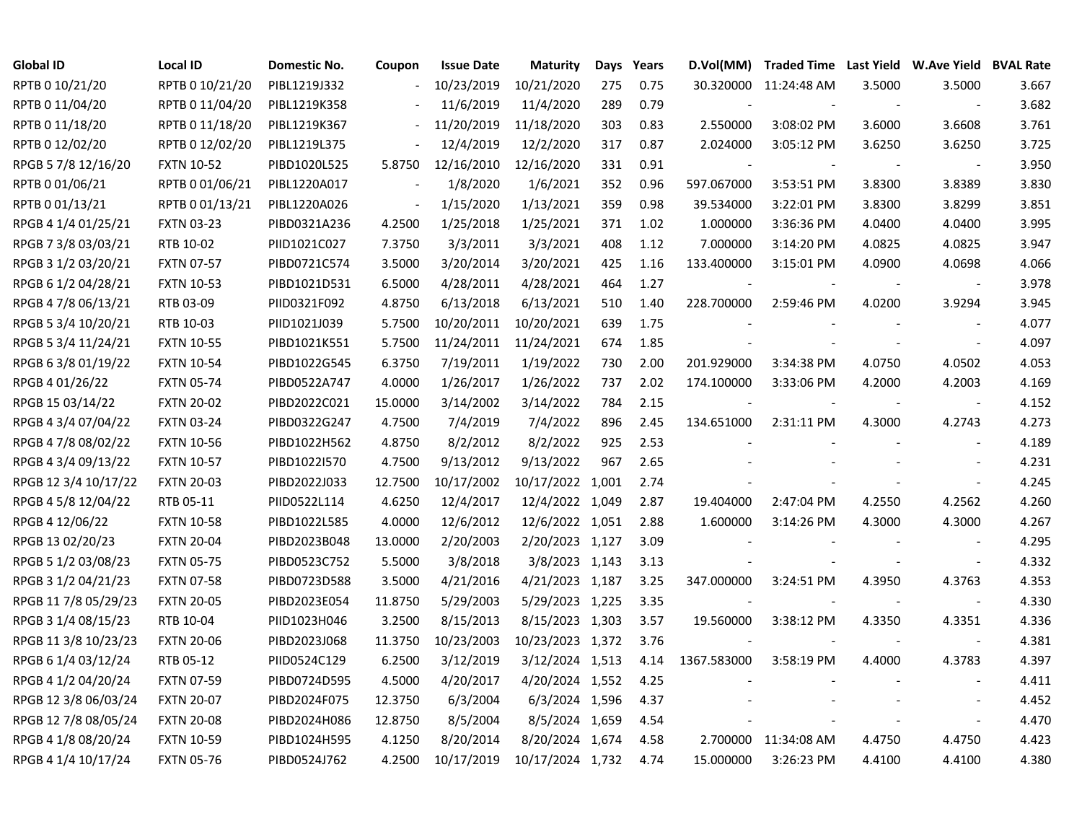| <b>Global ID</b>     | <b>Local ID</b>   | Domestic No. | Coupon         | <b>Issue Date</b> | <b>Maturity</b>  | Days | Years | D.Vol(MM)                |                       |        | Traded Time Last Yield W.Ave Yield BVAL Rate |       |
|----------------------|-------------------|--------------|----------------|-------------------|------------------|------|-------|--------------------------|-----------------------|--------|----------------------------------------------|-------|
| RPTB 0 10/21/20      | RPTB 0 10/21/20   | PIBL1219J332 |                | 10/23/2019        | 10/21/2020       | 275  | 0.75  |                          | 30.320000 11:24:48 AM | 3.5000 | 3.5000                                       | 3.667 |
| RPTB 0 11/04/20      | RPTB 0 11/04/20   | PIBL1219K358 |                | 11/6/2019         | 11/4/2020        | 289  | 0.79  |                          |                       |        |                                              | 3.682 |
| RPTB 0 11/18/20      | RPTB 0 11/18/20   | PIBL1219K367 |                | 11/20/2019        | 11/18/2020       | 303  | 0.83  | 2.550000                 | 3:08:02 PM            | 3.6000 | 3.6608                                       | 3.761 |
| RPTB 0 12/02/20      | RPTB 0 12/02/20   | PIBL1219L375 |                | 12/4/2019         | 12/2/2020        | 317  | 0.87  | 2.024000                 | 3:05:12 PM            | 3.6250 | 3.6250                                       | 3.725 |
| RPGB 5 7/8 12/16/20  | <b>FXTN 10-52</b> | PIBD1020L525 | 5.8750         | 12/16/2010        | 12/16/2020       | 331  | 0.91  |                          |                       |        |                                              | 3.950 |
| RPTB 0 01/06/21      | RPTB 0 01/06/21   | PIBL1220A017 |                | 1/8/2020          | 1/6/2021         | 352  | 0.96  | 597.067000               | 3:53:51 PM            | 3.8300 | 3.8389                                       | 3.830 |
| RPTB 0 01/13/21      | RPTB 0 01/13/21   | PIBL1220A026 | $\blacksquare$ | 1/15/2020         | 1/13/2021        | 359  | 0.98  | 39.534000                | 3:22:01 PM            | 3.8300 | 3.8299                                       | 3.851 |
| RPGB 4 1/4 01/25/21  | <b>FXTN 03-23</b> | PIBD0321A236 | 4.2500         | 1/25/2018         | 1/25/2021        | 371  | 1.02  | 1.000000                 | 3:36:36 PM            | 4.0400 | 4.0400                                       | 3.995 |
| RPGB 7 3/8 03/03/21  | RTB 10-02         | PIID1021C027 | 7.3750         | 3/3/2011          | 3/3/2021         | 408  | 1.12  | 7.000000                 | 3:14:20 PM            | 4.0825 | 4.0825                                       | 3.947 |
| RPGB 3 1/2 03/20/21  | <b>FXTN 07-57</b> | PIBD0721C574 | 3.5000         | 3/20/2014         | 3/20/2021        | 425  | 1.16  | 133.400000               | 3:15:01 PM            | 4.0900 | 4.0698                                       | 4.066 |
| RPGB 6 1/2 04/28/21  | <b>FXTN 10-53</b> | PIBD1021D531 | 6.5000         | 4/28/2011         | 4/28/2021        | 464  | 1.27  | $\overline{\phantom{a}}$ |                       |        | $\overline{\phantom{a}}$                     | 3.978 |
| RPGB 4 7/8 06/13/21  | RTB 03-09         | PIID0321F092 | 4.8750         | 6/13/2018         | 6/13/2021        | 510  | 1.40  | 228.700000               | 2:59:46 PM            | 4.0200 | 3.9294                                       | 3.945 |
| RPGB 5 3/4 10/20/21  | RTB 10-03         | PIID1021J039 | 5.7500         | 10/20/2011        | 10/20/2021       | 639  | 1.75  |                          |                       |        |                                              | 4.077 |
| RPGB 5 3/4 11/24/21  | <b>FXTN 10-55</b> | PIBD1021K551 | 5.7500         | 11/24/2011        | 11/24/2021       | 674  | 1.85  |                          |                       |        |                                              | 4.097 |
| RPGB 6 3/8 01/19/22  | <b>FXTN 10-54</b> | PIBD1022G545 | 6.3750         | 7/19/2011         | 1/19/2022        | 730  | 2.00  | 201.929000               | 3:34:38 PM            | 4.0750 | 4.0502                                       | 4.053 |
| RPGB 4 01/26/22      | <b>FXTN 05-74</b> | PIBD0522A747 | 4.0000         | 1/26/2017         | 1/26/2022        | 737  | 2.02  | 174.100000               | 3:33:06 PM            | 4.2000 | 4.2003                                       | 4.169 |
| RPGB 15 03/14/22     | <b>FXTN 20-02</b> | PIBD2022C021 | 15.0000        | 3/14/2002         | 3/14/2022        | 784  | 2.15  |                          |                       |        |                                              | 4.152 |
| RPGB 4 3/4 07/04/22  | <b>FXTN 03-24</b> | PIBD0322G247 | 4.7500         | 7/4/2019          | 7/4/2022         | 896  | 2.45  | 134.651000               | 2:31:11 PM            | 4.3000 | 4.2743                                       | 4.273 |
| RPGB 4 7/8 08/02/22  | <b>FXTN 10-56</b> | PIBD1022H562 | 4.8750         | 8/2/2012          | 8/2/2022         | 925  | 2.53  |                          |                       |        |                                              | 4.189 |
| RPGB 4 3/4 09/13/22  | <b>FXTN 10-57</b> | PIBD1022I570 | 4.7500         | 9/13/2012         | 9/13/2022        | 967  | 2.65  |                          |                       |        |                                              | 4.231 |
| RPGB 12 3/4 10/17/22 | <b>FXTN 20-03</b> | PIBD2022J033 | 12.7500        | 10/17/2002        | 10/17/2022 1,001 |      | 2.74  |                          |                       |        |                                              | 4.245 |
| RPGB 4 5/8 12/04/22  | RTB 05-11         | PIID0522L114 | 4.6250         | 12/4/2017         | 12/4/2022 1,049  |      | 2.87  | 19.404000                | 2:47:04 PM            | 4.2550 | 4.2562                                       | 4.260 |
| RPGB 4 12/06/22      | <b>FXTN 10-58</b> | PIBD1022L585 | 4.0000         | 12/6/2012         | 12/6/2022 1,051  |      | 2.88  | 1.600000                 | 3:14:26 PM            | 4.3000 | 4.3000                                       | 4.267 |
| RPGB 13 02/20/23     | <b>FXTN 20-04</b> | PIBD2023B048 | 13.0000        | 2/20/2003         | 2/20/2023 1,127  |      | 3.09  |                          |                       |        | $\overline{\phantom{a}}$                     | 4.295 |
| RPGB 5 1/2 03/08/23  | <b>FXTN 05-75</b> | PIBD0523C752 | 5.5000         | 3/8/2018          | 3/8/2023 1,143   |      | 3.13  |                          |                       |        | $\overline{\phantom{a}}$                     | 4.332 |
| RPGB 3 1/2 04/21/23  | <b>FXTN 07-58</b> | PIBD0723D588 | 3.5000         | 4/21/2016         | 4/21/2023 1,187  |      | 3.25  | 347.000000               | 3:24:51 PM            | 4.3950 | 4.3763                                       | 4.353 |
| RPGB 11 7/8 05/29/23 | <b>FXTN 20-05</b> | PIBD2023E054 | 11.8750        | 5/29/2003         | 5/29/2023 1,225  |      | 3.35  |                          |                       |        |                                              | 4.330 |
| RPGB 3 1/4 08/15/23  | RTB 10-04         | PIID1023H046 | 3.2500         | 8/15/2013         | 8/15/2023 1,303  |      | 3.57  | 19.560000                | 3:38:12 PM            | 4.3350 | 4.3351                                       | 4.336 |
| RPGB 11 3/8 10/23/23 | <b>FXTN 20-06</b> | PIBD2023J068 | 11.3750        | 10/23/2003        | 10/23/2023 1,372 |      | 3.76  |                          |                       |        |                                              | 4.381 |
| RPGB 6 1/4 03/12/24  | RTB 05-12         | PIID0524C129 | 6.2500         | 3/12/2019         | 3/12/2024 1,513  |      | 4.14  | 1367.583000              | 3:58:19 PM            | 4.4000 | 4.3783                                       | 4.397 |
| RPGB 4 1/2 04/20/24  | <b>FXTN 07-59</b> | PIBD0724D595 | 4.5000         | 4/20/2017         | 4/20/2024 1,552  |      | 4.25  |                          |                       |        |                                              | 4.411 |
| RPGB 12 3/8 06/03/24 | <b>FXTN 20-07</b> | PIBD2024F075 | 12.3750        | 6/3/2004          | 6/3/2024 1,596   |      | 4.37  |                          |                       |        |                                              | 4.452 |
| RPGB 12 7/8 08/05/24 | <b>FXTN 20-08</b> | PIBD2024H086 | 12.8750        | 8/5/2004          | 8/5/2024 1,659   |      | 4.54  |                          |                       |        |                                              | 4.470 |
| RPGB 4 1/8 08/20/24  | <b>FXTN 10-59</b> | PIBD1024H595 | 4.1250         | 8/20/2014         | 8/20/2024 1,674  |      | 4.58  |                          | 2.700000 11:34:08 AM  | 4.4750 | 4.4750                                       | 4.423 |
| RPGB 4 1/4 10/17/24  | <b>FXTN 05-76</b> | PIBD0524J762 | 4.2500         | 10/17/2019        | 10/17/2024 1,732 |      | 4.74  | 15.000000                | 3:26:23 PM            | 4.4100 | 4.4100                                       | 4.380 |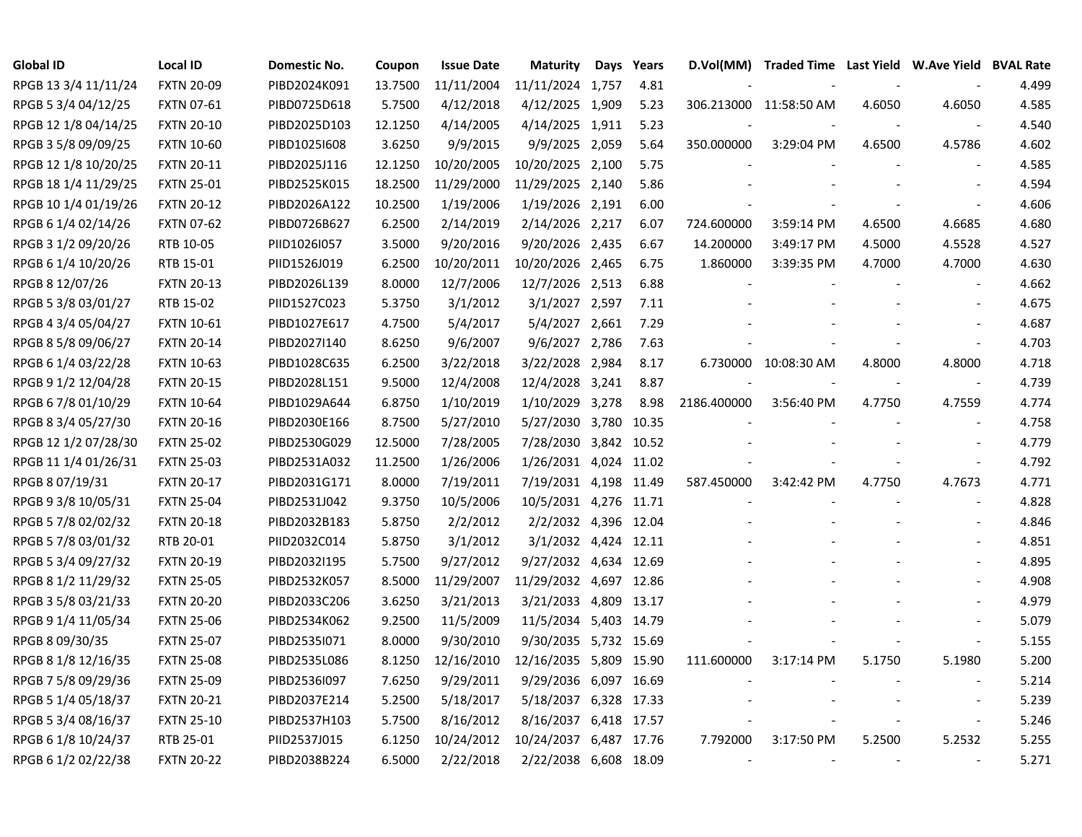| <b>Global ID</b>     | <b>Local ID</b>   | Domestic No. | Coupon  | <b>Issue Date</b> | <b>Maturity</b>        | Days | Years |             | D.Vol(MM) Traded Time Last Yield W.Ave Yield BVAL Rate |        |                          |       |
|----------------------|-------------------|--------------|---------|-------------------|------------------------|------|-------|-------------|--------------------------------------------------------|--------|--------------------------|-------|
| RPGB 13 3/4 11/11/24 | <b>FXTN 20-09</b> | PIBD2024K091 | 13.7500 | 11/11/2004        | 11/11/2024 1,757       |      | 4.81  |             |                                                        |        |                          | 4.499 |
| RPGB 5 3/4 04/12/25  | <b>FXTN 07-61</b> | PIBD0725D618 | 5.7500  | 4/12/2018         | 4/12/2025 1,909        |      | 5.23  |             | 306.213000 11:58:50 AM                                 | 4.6050 | 4.6050                   | 4.585 |
| RPGB 12 1/8 04/14/25 | <b>FXTN 20-10</b> | PIBD2025D103 | 12.1250 | 4/14/2005         | 4/14/2025 1,911        |      | 5.23  |             |                                                        |        |                          | 4.540 |
| RPGB 3 5/8 09/09/25  | <b>FXTN 10-60</b> | PIBD1025I608 | 3.6250  | 9/9/2015          | 9/9/2025 2,059         |      | 5.64  | 350.000000  | 3:29:04 PM                                             | 4.6500 | 4.5786                   | 4.602 |
| RPGB 12 1/8 10/20/25 | <b>FXTN 20-11</b> | PIBD2025J116 | 12.1250 | 10/20/2005        | 10/20/2025 2,100       |      | 5.75  |             |                                                        |        |                          | 4.585 |
| RPGB 18 1/4 11/29/25 | <b>FXTN 25-01</b> | PIBD2525K015 | 18.2500 | 11/29/2000        | 11/29/2025 2,140       |      | 5.86  |             |                                                        |        |                          | 4.594 |
| RPGB 10 1/4 01/19/26 | <b>FXTN 20-12</b> | PIBD2026A122 | 10.2500 | 1/19/2006         | 1/19/2026 2,191        |      | 6.00  |             |                                                        |        |                          | 4.606 |
| RPGB 6 1/4 02/14/26  | <b>FXTN 07-62</b> | PIBD0726B627 | 6.2500  | 2/14/2019         | 2/14/2026 2,217        |      | 6.07  | 724.600000  | 3:59:14 PM                                             | 4.6500 | 4.6685                   | 4.680 |
| RPGB 3 1/2 09/20/26  | RTB 10-05         | PIID1026I057 | 3.5000  | 9/20/2016         | 9/20/2026 2,435        |      | 6.67  | 14.200000   | 3:49:17 PM                                             | 4.5000 | 4.5528                   | 4.527 |
| RPGB 6 1/4 10/20/26  | RTB 15-01         | PIID1526J019 | 6.2500  | 10/20/2011        | 10/20/2026 2,465       |      | 6.75  | 1.860000    | 3:39:35 PM                                             | 4.7000 | 4.7000                   | 4.630 |
| RPGB 8 12/07/26      | <b>FXTN 20-13</b> | PIBD2026L139 | 8.0000  | 12/7/2006         | 12/7/2026 2,513        |      | 6.88  |             |                                                        |        | $\overline{\phantom{a}}$ | 4.662 |
| RPGB 5 3/8 03/01/27  | RTB 15-02         | PIID1527C023 | 5.3750  | 3/1/2012          | 3/1/2027 2,597         |      | 7.11  |             |                                                        |        |                          | 4.675 |
| RPGB 4 3/4 05/04/27  | <b>FXTN 10-61</b> | PIBD1027E617 | 4.7500  | 5/4/2017          | 5/4/2027 2,661         |      | 7.29  |             |                                                        |        |                          | 4.687 |
| RPGB 8 5/8 09/06/27  | <b>FXTN 20-14</b> | PIBD2027I140 | 8.6250  | 9/6/2007          | 9/6/2027 2,786         |      | 7.63  |             |                                                        |        | $\sim$                   | 4.703 |
| RPGB 6 1/4 03/22/28  | <b>FXTN 10-63</b> | PIBD1028C635 | 6.2500  | 3/22/2018         | 3/22/2028 2,984        |      | 8.17  |             | 6.730000 10:08:30 AM                                   | 4.8000 | 4.8000                   | 4.718 |
| RPGB 9 1/2 12/04/28  | <b>FXTN 20-15</b> | PIBD2028L151 | 9.5000  | 12/4/2008         | 12/4/2028 3,241        |      | 8.87  |             |                                                        |        |                          | 4.739 |
| RPGB 6 7/8 01/10/29  | <b>FXTN 10-64</b> | PIBD1029A644 | 6.8750  | 1/10/2019         | 1/10/2029 3,278        |      | 8.98  | 2186.400000 | 3:56:40 PM                                             | 4.7750 | 4.7559                   | 4.774 |
| RPGB 8 3/4 05/27/30  | <b>FXTN 20-16</b> | PIBD2030E166 | 8.7500  | 5/27/2010         | 5/27/2030 3,780 10.35  |      |       |             |                                                        |        |                          | 4.758 |
| RPGB 12 1/2 07/28/30 | <b>FXTN 25-02</b> | PIBD2530G029 | 12.5000 | 7/28/2005         | 7/28/2030 3,842 10.52  |      |       |             |                                                        |        |                          | 4.779 |
| RPGB 11 1/4 01/26/31 | <b>FXTN 25-03</b> | PIBD2531A032 | 11.2500 | 1/26/2006         | 1/26/2031 4,024 11.02  |      |       |             |                                                        |        | $\overline{\phantom{a}}$ | 4.792 |
| RPGB 8 07/19/31      | <b>FXTN 20-17</b> | PIBD2031G171 | 8.0000  | 7/19/2011         | 7/19/2031 4,198 11.49  |      |       | 587.450000  | 3:42:42 PM                                             | 4.7750 | 4.7673                   | 4.771 |
| RPGB 9 3/8 10/05/31  | <b>FXTN 25-04</b> | PIBD2531J042 | 9.3750  | 10/5/2006         | 10/5/2031 4,276 11.71  |      |       |             |                                                        |        | $\blacksquare$           | 4.828 |
| RPGB 5 7/8 02/02/32  | <b>FXTN 20-18</b> | PIBD2032B183 | 5.8750  | 2/2/2012          | 2/2/2032 4,396 12.04   |      |       |             |                                                        |        | $\blacksquare$           | 4.846 |
| RPGB 5 7/8 03/01/32  | RTB 20-01         | PIID2032C014 | 5.8750  | 3/1/2012          | 3/1/2032 4,424 12.11   |      |       |             |                                                        |        | $\blacksquare$           | 4.851 |
| RPGB 5 3/4 09/27/32  | <b>FXTN 20-19</b> | PIBD2032I195 | 5.7500  | 9/27/2012         | 9/27/2032 4,634 12.69  |      |       |             |                                                        |        |                          | 4.895 |
| RPGB 8 1/2 11/29/32  | <b>FXTN 25-05</b> | PIBD2532K057 | 8.5000  | 11/29/2007        | 11/29/2032 4,697 12.86 |      |       |             |                                                        |        |                          | 4.908 |
| RPGB 3 5/8 03/21/33  | <b>FXTN 20-20</b> | PIBD2033C206 | 3.6250  | 3/21/2013         | 3/21/2033 4,809 13.17  |      |       |             |                                                        |        |                          | 4.979 |
| RPGB 9 1/4 11/05/34  | <b>FXTN 25-06</b> | PIBD2534K062 | 9.2500  | 11/5/2009         | 11/5/2034 5,403 14.79  |      |       |             |                                                        |        |                          | 5.079 |
| RPGB 8 09/30/35      | <b>FXTN 25-07</b> | PIBD2535I071 | 8.0000  | 9/30/2010         | 9/30/2035 5,732 15.69  |      |       |             |                                                        |        |                          | 5.155 |
| RPGB 8 1/8 12/16/35  | <b>FXTN 25-08</b> | PIBD2535L086 | 8.1250  | 12/16/2010        | 12/16/2035 5,809 15.90 |      |       | 111.600000  | 3:17:14 PM                                             | 5.1750 | 5.1980                   | 5.200 |
| RPGB 7 5/8 09/29/36  | <b>FXTN 25-09</b> | PIBD2536I097 | 7.6250  | 9/29/2011         | 9/29/2036 6,097 16.69  |      |       |             |                                                        |        |                          | 5.214 |
| RPGB 5 1/4 05/18/37  | <b>FXTN 20-21</b> | PIBD2037E214 | 5.2500  | 5/18/2017         | 5/18/2037 6,328 17.33  |      |       |             |                                                        |        | $\overline{a}$           | 5.239 |
| RPGB 5 3/4 08/16/37  | <b>FXTN 25-10</b> | PIBD2537H103 | 5.7500  | 8/16/2012         | 8/16/2037 6,418 17.57  |      |       |             |                                                        |        | $\blacksquare$           | 5.246 |
| RPGB 6 1/8 10/24/37  | RTB 25-01         | PIID2537J015 | 6.1250  | 10/24/2012        | 10/24/2037 6,487 17.76 |      |       | 7.792000    | 3:17:50 PM                                             | 5.2500 | 5.2532                   | 5.255 |
| RPGB 6 1/2 02/22/38  | <b>FXTN 20-22</b> | PIBD2038B224 | 6.5000  | 2/22/2018         | 2/22/2038 6,608 18.09  |      |       |             |                                                        |        | $\blacksquare$           | 5.271 |